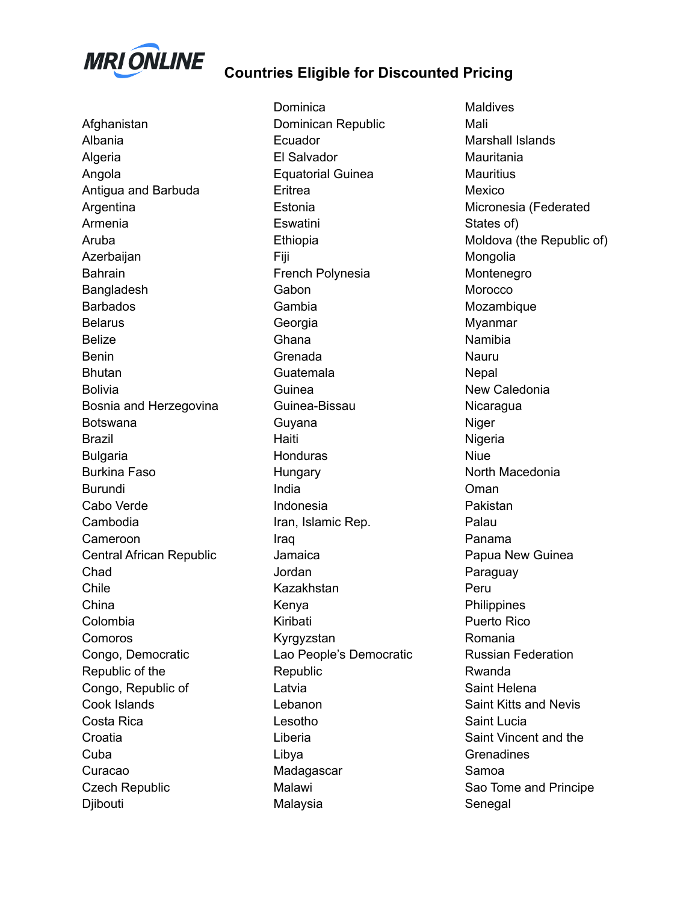

**Countries Eligible for Discounted Pricing**

Afghanistan Albania Algeria Angola Antigua and Barbuda Argentina Armenia Aruba Azerbaijan **Bahrain** Bangladesh Barbados Belarus Belize Benin **Bhutan** Bolivia Bosnia and Herzegovina Botswana Brazil Bulgaria Burkina Faso Burundi Cabo Verde Cambodia Cameroon Central African Republic Chad Chile China Colombia Comoros Congo, Democratic Republic of the Congo, Republic of Cook Islands Costa Rica **Croatia** Cuba Curacao Czech Republic Djibouti

**Dominica** Dominican Republic Ecuador El Salvador Equatorial Guinea Eritrea Estonia **Eswatini** Ethiopia Fiji French Polynesia **Gabon** Gambia Georgia Ghana Grenada Guatemala Guinea Guinea-Bissau Guyana Haiti **Honduras Hungary** India Indonesia Iran, Islamic Rep. Iraq Jamaica **Jordan** Kazakhstan Kenya Kiribati Kyrgyzstan Lao People's Democratic Republic Latvia Lebanon Lesotho Liberia Libya Madagascar Malawi Malaysia

**Maldives** Mali Marshall Islands **Mauritania Mauritius** Mexico Micronesia (Federated States of) Moldova (the Republic of) Mongolia Montenegro Morocco Mozambique Myanmar Namibia Nauru **Nepal** New Caledonia **Nicaragua Niger** Nigeria Niue North Macedonia Oman Pakistan Palau Panama Papua New Guinea Paraguay Peru **Philippines** Puerto Rico Romania Russian Federation Rwanda Saint Helena Saint Kitts and Nevis Saint Lucia Saint Vincent and the **Grenadines** Samoa Sao Tome and Principe Senegal